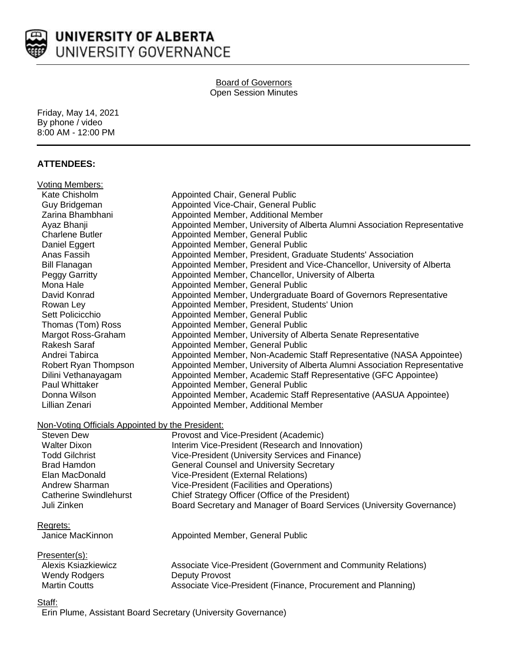

## Board of Governors Open Session Minutes

Friday, May 14, 2021 By phone / video 8:00 AM - 12:00 PM

## **ATTENDEES:**

| <b>Voting Members:</b>                                                |                                                                           |
|-----------------------------------------------------------------------|---------------------------------------------------------------------------|
| Kate Chisholm                                                         | Appointed Chair, General Public                                           |
| Guy Bridgeman                                                         | Appointed Vice-Chair, General Public                                      |
| Zarina Bhambhani                                                      | Appointed Member, Additional Member                                       |
| Ayaz Bhanji                                                           | Appointed Member, University of Alberta Alumni Association Representative |
| <b>Charlene Butler</b>                                                | Appointed Member, General Public                                          |
| Daniel Eggert                                                         | Appointed Member, General Public                                          |
| Anas Fassih                                                           | Appointed Member, President, Graduate Students' Association               |
| <b>Bill Flanagan</b>                                                  | Appointed Member, President and Vice-Chancellor, University of Alberta    |
| <b>Peggy Garritty</b>                                                 | Appointed Member, Chancellor, University of Alberta                       |
| Mona Hale                                                             | Appointed Member, General Public                                          |
| David Konrad                                                          | Appointed Member, Undergraduate Board of Governors Representative         |
| Rowan Ley                                                             | Appointed Member, President, Students' Union                              |
| Sett Policicchio                                                      | Appointed Member, General Public                                          |
| Thomas (Tom) Ross                                                     | Appointed Member, General Public                                          |
| Margot Ross-Graham                                                    | Appointed Member, University of Alberta Senate Representative             |
| Rakesh Saraf                                                          | Appointed Member, General Public                                          |
| Andrei Tabirca                                                        | Appointed Member, Non-Academic Staff Representative (NASA Appointee)      |
| Robert Ryan Thompson                                                  | Appointed Member, University of Alberta Alumni Association Representative |
| Dilini Vethanayagam                                                   | Appointed Member, Academic Staff Representative (GFC Appointee)           |
| Paul Whittaker                                                        | Appointed Member, General Public                                          |
| Donna Wilson                                                          | Appointed Member, Academic Staff Representative (AASUA Appointee)         |
| Lillian Zenari                                                        | Appointed Member, Additional Member                                       |
|                                                                       |                                                                           |
| Non-Voting Officials Appointed by the President:<br><b>Steven Dew</b> |                                                                           |
|                                                                       | Provost and Vice-President (Academic)                                     |
| <b>Walter Dixon</b>                                                   | Interim Vice-President (Research and Innovation)                          |
| <b>Todd Gilchrist</b>                                                 | Vice-President (University Services and Finance)                          |
| <b>Brad Hamdon</b>                                                    | <b>General Counsel and University Secretary</b>                           |
| Elan MacDonald                                                        | Vice-President (External Relations)                                       |
| Andrew Sharman                                                        | Vice-President (Facilities and Operations)                                |
| <b>Catherine Swindlehurst</b>                                         | Chief Strategy Officer (Office of the President)                          |
| Juli Zinken                                                           | Board Secretary and Manager of Board Services (University Governance)     |
| Regrets:                                                              |                                                                           |
| Janice MacKinnon                                                      | Appointed Member, General Public                                          |
|                                                                       |                                                                           |
| Presenter(s):                                                         |                                                                           |
| <b>Alexis Ksiazkiewicz</b>                                            | Associate Vice-President (Government and Community Relations)             |
| <b>Wendy Rodgers</b>                                                  | <b>Deputy Provost</b>                                                     |
| <b>Martin Coutts</b>                                                  | Associate Vice-President (Finance, Procurement and Planning)              |
| $C + \cap H$                                                          |                                                                           |

<u>Staff:</u>

Erin Plume, Assistant Board Secretary (University Governance)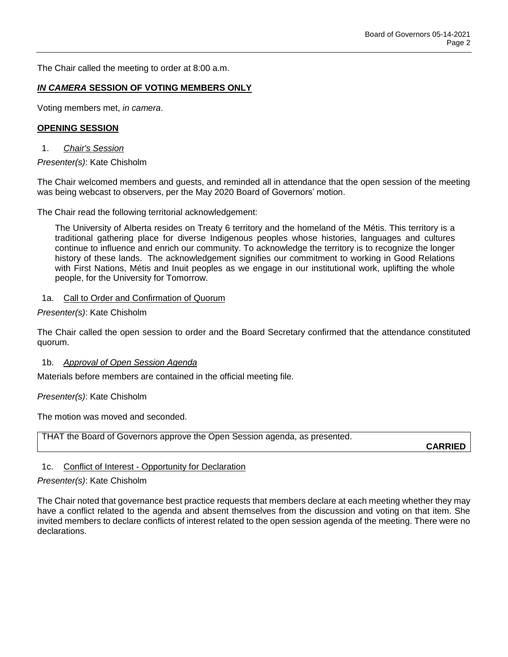The Chair called the meeting to order at 8:00 a.m.

### *IN CAMERA* **SESSION OF VOTING MEMBERS ONLY**

Voting members met, *in camera*.

### **OPENING SESSION**

1. *Chair's Session*

*Presenter(s)*: Kate Chisholm

The Chair welcomed members and guests, and reminded all in attendance that the open session of the meeting was being webcast to observers, per the May 2020 Board of Governors' motion.

The Chair read the following territorial acknowledgement:

The University of Alberta resides on Treaty 6 territory and the homeland of the Métis. This territory is a traditional gathering place for diverse Indigenous peoples whose histories, languages and cultures continue to influence and enrich our community. To acknowledge the territory is to recognize the longer history of these lands. The acknowledgement signifies our commitment to working in Good Relations with First Nations, Métis and Inuit peoples as we engage in our institutional work, uplifting the whole people, for the University for Tomorrow.

### 1a. Call to Order and Confirmation of Quorum

*Presenter(s)*: Kate Chisholm

The Chair called the open session to order and the Board Secretary confirmed that the attendance constituted quorum.

### 1b. *Approval of Open Session Agenda*

Materials before members are contained in the official meeting file.

*Presenter(s)*: Kate Chisholm

The motion was moved and seconded.

THAT the Board of Governors approve the Open Session agenda, as presented.

**CARRIED**

## 1c. Conflict of Interest - Opportunity for Declaration

### *Presenter(s)*: Kate Chisholm

The Chair noted that governance best practice requests that members declare at each meeting whether they may have a conflict related to the agenda and absent themselves from the discussion and voting on that item. She invited members to declare conflicts of interest related to the open session agenda of the meeting. There were no declarations.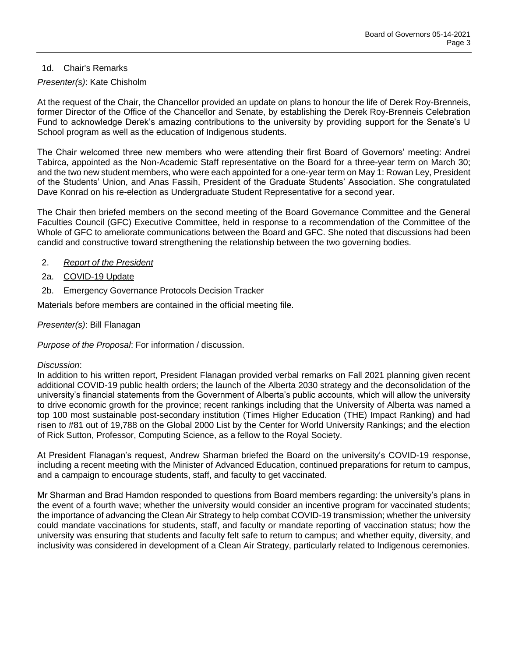## 1d. Chair's Remarks

## *Presenter(s)*: Kate Chisholm

At the request of the Chair, the Chancellor provided an update on plans to honour the life of Derek Roy-Brenneis, former Director of the Office of the Chancellor and Senate, by establishing the Derek Roy-Brenneis Celebration Fund to acknowledge Derek's amazing contributions to the university by providing support for the Senate's U School program as well as the education of Indigenous students.

The Chair welcomed three new members who were attending their first Board of Governors' meeting: Andrei Tabirca, appointed as the Non-Academic Staff representative on the Board for a three-year term on March 30; and the two new student members, who were each appointed for a one-year term on May 1: Rowan Ley, President of the Students' Union, and Anas Fassih, President of the Graduate Students' Association. She congratulated Dave Konrad on his re-election as Undergraduate Student Representative for a second year.

The Chair then briefed members on the second meeting of the Board Governance Committee and the General Faculties Council (GFC) Executive Committee, held in response to a recommendation of the Committee of the Whole of GFC to ameliorate communications between the Board and GFC. She noted that discussions had been candid and constructive toward strengthening the relationship between the two governing bodies.

- 2. *Report of the President*
- 2a. COVID-19 Update
- 2b. Emergency Governance Protocols Decision Tracker

Materials before members are contained in the official meeting file.

*Presenter(s)*: Bill Flanagan

*Purpose of the Proposal*: For information / discussion.

## *Discussion*:

In addition to his written report, President Flanagan provided verbal remarks on Fall 2021 planning given recent additional COVID-19 public health orders; the launch of the Alberta 2030 strategy and the deconsolidation of the university's financial statements from the Government of Alberta's public accounts, which will allow the university to drive economic growth for the province; recent rankings including that the University of Alberta was named a top 100 most sustainable post-secondary institution (Times Higher Education (THE) Impact Ranking) and had risen to #81 out of 19,788 on the Global 2000 List by the Center for World University Rankings; and the election of Rick Sutton, Professor, Computing Science, as a fellow to the Royal Society.

At President Flanagan's request, Andrew Sharman briefed the Board on the university's COVID-19 response, including a recent meeting with the Minister of Advanced Education, continued preparations for return to campus, and a campaign to encourage students, staff, and faculty to get vaccinated.

Mr Sharman and Brad Hamdon responded to questions from Board members regarding: the university's plans in the event of a fourth wave; whether the university would consider an incentive program for vaccinated students; the importance of advancing the Clean Air Strategy to help combat COVID-19 transmission; whether the university could mandate vaccinations for students, staff, and faculty or mandate reporting of vaccination status; how the university was ensuring that students and faculty felt safe to return to campus; and whether equity, diversity, and inclusivity was considered in development of a Clean Air Strategy, particularly related to Indigenous ceremonies.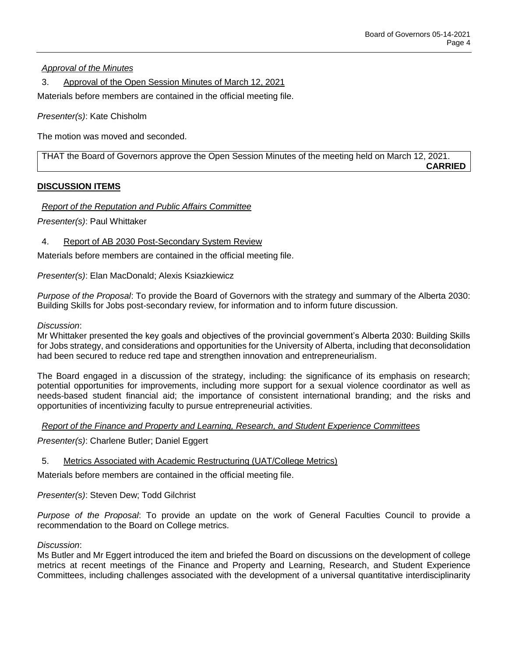*Approval of the Minutes*

3. Approval of the Open Session Minutes of March 12, 2021

Materials before members are contained in the official meeting file.

*Presenter(s)*: Kate Chisholm

The motion was moved and seconded.

THAT the Board of Governors approve the Open Session Minutes of the meeting held on March 12, 2021. **CARRIED**

## **DISCUSSION ITEMS**

## *Report of the Reputation and Public Affairs Committee*

*Presenter(s)*: Paul Whittaker

4. Report of AB 2030 Post-Secondary System Review

Materials before members are contained in the official meeting file.

*Presenter(s)*: Elan MacDonald; Alexis Ksiazkiewicz

*Purpose of the Proposal*: To provide the Board of Governors with the strategy and summary of the Alberta 2030: Building Skills for Jobs post-secondary review, for information and to inform future discussion.

*Discussion*:

Mr Whittaker presented the key goals and objectives of the provincial government's Alberta 2030: Building Skills for Jobs strategy, and considerations and opportunities for the University of Alberta, including that deconsolidation had been secured to reduce red tape and strengthen innovation and entrepreneurialism.

The Board engaged in a discussion of the strategy, including: the significance of its emphasis on research; potential opportunities for improvements, including more support for a sexual violence coordinator as well as needs-based student financial aid; the importance of consistent international branding; and the risks and opportunities of incentivizing faculty to pursue entrepreneurial activities.

*Report of the Finance and Property and Learning, Research, and Student Experience Committees*

*Presenter(s)*: Charlene Butler; Daniel Eggert

5. Metrics Associated with Academic Restructuring (UAT/College Metrics)

Materials before members are contained in the official meeting file.

*Presenter(s)*: Steven Dew; Todd Gilchrist

*Purpose of the Proposal*: To provide an update on the work of General Faculties Council to provide a recommendation to the Board on College metrics.

### *Discussion*:

Ms Butler and Mr Eggert introduced the item and briefed the Board on discussions on the development of college metrics at recent meetings of the Finance and Property and Learning, Research, and Student Experience Committees, including challenges associated with the development of a universal quantitative interdisciplinarity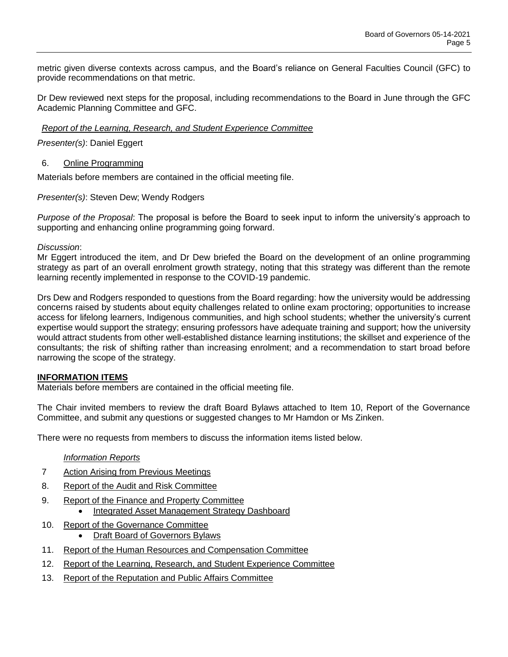metric given diverse contexts across campus, and the Board's reliance on General Faculties Council (GFC) to provide recommendations on that metric.

Dr Dew reviewed next steps for the proposal, including recommendations to the Board in June through the GFC Academic Planning Committee and GFC.

*Report of the Learning, Research, and Student Experience Committee*

*Presenter(s)*: Daniel Eggert

6. Online Programming

Materials before members are contained in the official meeting file.

*Presenter(s)*: Steven Dew; Wendy Rodgers

*Purpose of the Proposal*: The proposal is before the Board to seek input to inform the university's approach to supporting and enhancing online programming going forward.

*Discussion*:

Mr Eggert introduced the item, and Dr Dew briefed the Board on the development of an online programming strategy as part of an overall enrolment growth strategy, noting that this strategy was different than the remote learning recently implemented in response to the COVID-19 pandemic.

Drs Dew and Rodgers responded to questions from the Board regarding: how the university would be addressing concerns raised by students about equity challenges related to online exam proctoring; opportunities to increase access for lifelong learners, Indigenous communities, and high school students; whether the university's current expertise would support the strategy; ensuring professors have adequate training and support; how the university would attract students from other well-established distance learning institutions; the skillset and experience of the consultants; the risk of shifting rather than increasing enrolment; and a recommendation to start broad before narrowing the scope of the strategy.

### **INFORMATION ITEMS**

Materials before members are contained in the official meeting file.

The Chair invited members to review the draft Board Bylaws attached to Item 10, Report of the Governance Committee, and submit any questions or suggested changes to Mr Hamdon or Ms Zinken.

There were no requests from members to discuss the information items listed below.

### *Information Reports*

- 7 Action Arising from Previous Meetings
- 8. Report of the Audit and Risk Committee
- 9. Report of the Finance and Property Committee
	- Integrated Asset Management Strategy Dashboard
- 10. Report of the Governance Committee
	- Draft Board of Governors Bylaws
- 11. Report of the Human Resources and Compensation Committee
- 12. Report of the Learning, Research, and Student Experience Committee
- 13. Report of the Reputation and Public Affairs Committee